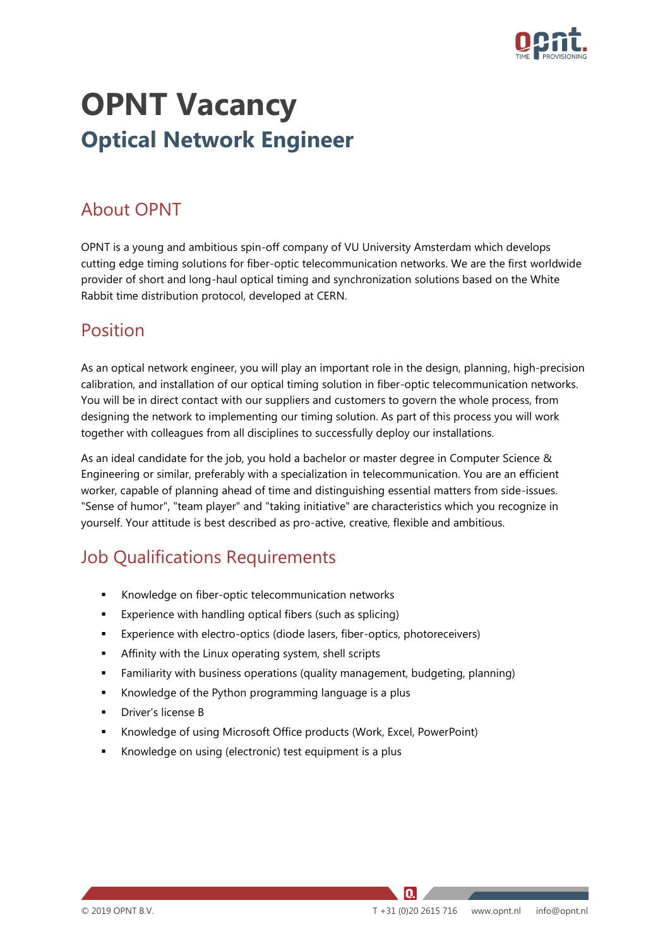

# **OPNT Vacancy Optical Network Engineer**

### About OPNT

OPNT is a young and ambitious spin-off company of VU University Amsterdam which develops cutting edge timing solutions for fiber-optic telecommunication networks. We are the first worldwide provider of short and long-haul optical timing and synchronization solutions based on the White Rabbit time distribution protocol, developed at CERN.

#### Position

As an optical network engineer, you will play an important role in the design, planning, high-precision calibration, and installation of our optical timing solution in fiber-optic telecommunication networks. You will be in direct contact with our suppliers and customers to govern the whole process, from designing the network to implementing our timing solution. As part of this process you will work together with colleagues from all disciplines to successfully deploy our installations.

As an ideal candidate for the job, you hold a bachelor or master degree in Computer Science & Engineering or similar, preferably with a specialization in telecommunication. You are an efficient worker, capable of planning ahead of time and distinguishing essential matters from side-issues. "Sense of humor", "team player" and "taking initiative" are characteristics which you recognize in yourself. Your attitude is best described as pro-active, creative, flexible and ambitious.

#### Job Qualifications Requirements

- Knowledge on fiber-optic telecommunication networks
- Experience with handling optical fibers (such as splicing)
- Experience with electro-optics (diode lasers, fiber-optics, photoreceivers)
- **EXECT** Affinity with the Linux operating system, shell scripts
- Familiarity with business operations (quality management, budgeting, planning)
- Knowledge of the Python programming language is a plus
- Driver's license B
- Knowledge of using Microsoft Office products (Work, Excel, PowerPoint)
- Knowledge on using (electronic) test equipment is a plus

IQ.